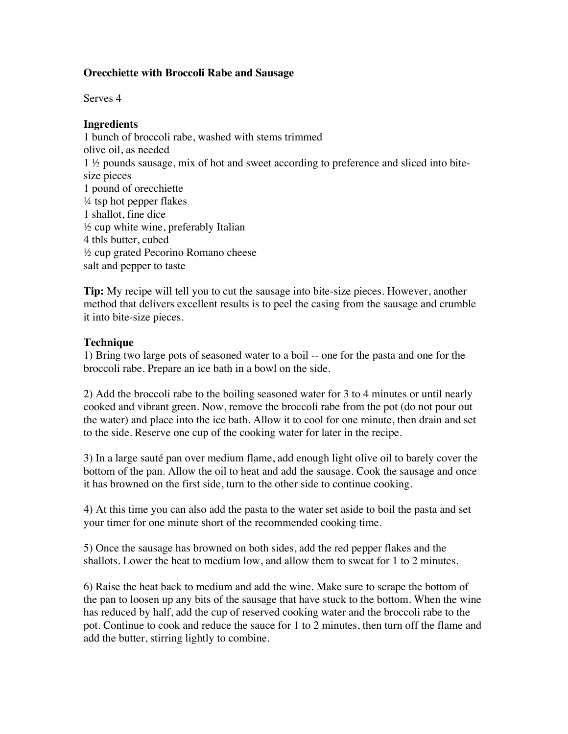## **Orecchiette with Broccoli Rabe and Sausage**

Serves 4

## **Ingredients**

1 bunch of broccoli rabe, washed with stems trimmed olive oil, as needed 1 ½ pounds sausage, mix of hot and sweet according to preference and sliced into bitesize pieces 1 pound of orecchiette ¼ tsp hot pepper flakes 1 shallot, fine dice  $\frac{1}{2}$  cup white wine, preferably Italian 4 tbls butter, cubed ½ cup grated Pecorino Romano cheese salt and pepper to taste

**Tip:** My recipe will tell you to cut the sausage into bite-size pieces. However, another method that delivers excellent results is to peel the casing from the sausage and crumble it into bite-size pieces.

## **Technique**

1) Bring two large pots of seasoned water to a boil -- one for the pasta and one for the broccoli rabe. Prepare an ice bath in a bowl on the side.

2) Add the broccoli rabe to the boiling seasoned water for 3 to 4 minutes or until nearly cooked and vibrant green. Now, remove the broccoli rabe from the pot (do not pour out the water) and place into the ice bath. Allow it to cool for one minute, then drain and set to the side. Reserve one cup of the cooking water for later in the recipe.

3) In a large sauté pan over medium flame, add enough light olive oil to barely cover the bottom of the pan. Allow the oil to heat and add the sausage. Cook the sausage and once it has browned on the first side, turn to the other side to continue cooking.

4) At this time you can also add the pasta to the water set aside to boil the pasta and set your timer for one minute short of the recommended cooking time.

5) Once the sausage has browned on both sides, add the red pepper flakes and the shallots. Lower the heat to medium low, and allow them to sweat for 1 to 2 minutes.

6) Raise the heat back to medium and add the wine. Make sure to scrape the bottom of the pan to loosen up any bits of the sausage that have stuck to the bottom. When the wine has reduced by half, add the cup of reserved cooking water and the broccoli rabe to the pot. Continue to cook and reduce the sauce for 1 to 2 minutes, then turn off the flame and add the butter, stirring lightly to combine.